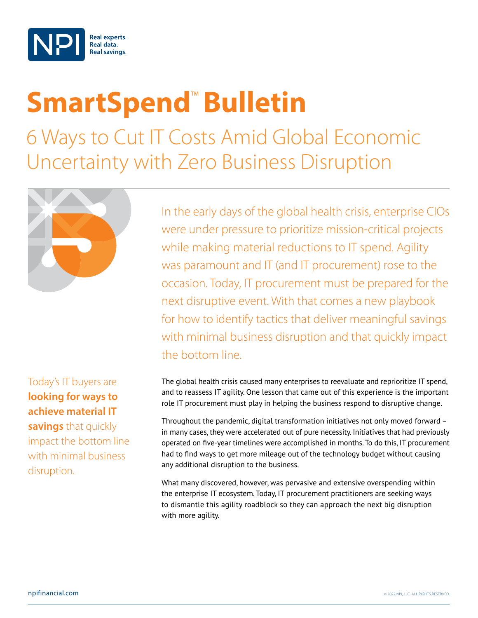

## **SmartSpend<sup>™</sup> Bulletin**

6 Ways to Cut IT Costs Amid Global Economic Uncertainty with Zero Business Disruption



Today's IT buyers are **looking for ways to achieve material IT savings** that quickly impact the bottom line with minimal business disruption.

In the early days of the global health crisis, enterprise CIOs were under pressure to prioritize mission-critical projects while making material reductions to IT spend. Agility was paramount and IT (and IT procurement) rose to the occasion. Today, IT procurement must be prepared for the next disruptive event. With that comes a new playbook for how to identify tactics that deliver meaningful savings with minimal business disruption and that quickly impact the bottom line.

The global health crisis caused many enterprises to reevaluate and reprioritize IT spend, and to reassess IT agility. One lesson that came out of this experience is the important role IT procurement must play in helping the business respond to disruptive change.

Throughout the pandemic, digital transformation initiatives not only moved forward – in many cases, they were accelerated out of pure necessity. Initiatives that had previously operated on five-year timelines were accomplished in months. To do this, IT procurement had to find ways to get more mileage out of the technology budget without causing any additional disruption to the business.

What many discovered, however, was pervasive and extensive overspending within the enterprise IT ecosystem. Today, IT procurement practitioners are seeking ways to dismantle this agility roadblock so they can approach the next big disruption with more agility.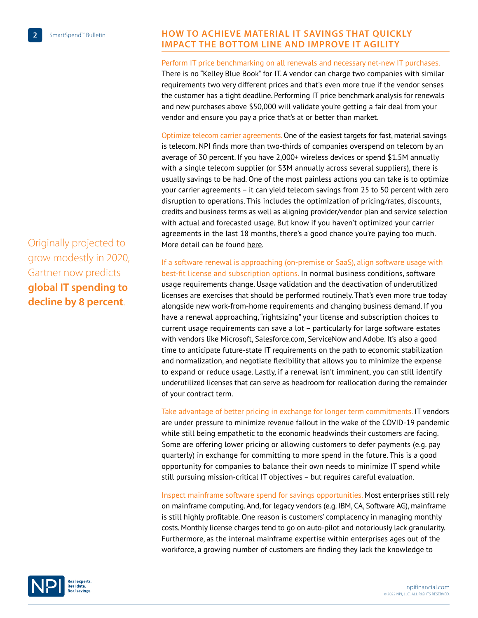## Originally projected to grow modestly in 2020, Gartner now predicts **global IT spending to decline by 8 percent**.

## **HOW TO ACHIEVE MATERIAL IT SAVINGS THAT QUICKLY IMPACT THE BOTTOM LINE and improve it agility**

Perform IT price benchmarking on all renewals and necessary net-new IT purchases. There is no "Kelley Blue Book" for IT. A vendor can charge two companies with similar requirements two very different prices and that's even more true if the vendor senses the customer has a tight deadline. Performing IT price benchmark analysis for renewals and new purchases above \$50,000 will validate you're getting a fair deal from your vendor and ensure you pay a price that's at or better than market.

Optimize telecom carrier agreements. One of the easiest targets for fast, material savings is telecom. NPI finds more than two-thirds of companies overspend on telecom by an average of 30 percent. If you have 2,000+ wireless devices or spend \$1.5M annually with a single telecom supplier (or  $$3M$  annually across several suppliers), there is usually savings to be had. One of the most painless actions you can take is to optimize your carrier agreements – it can yield telecom savings from 25 to 50 percent with zero disruption to operations. This includes the optimization of pricing/rates, discounts, credits and business terms as well as aligning provider/vendor plan and service selection with actual and forecasted usage. But know if you haven't optimized your carrier agreements in the last 18 months, there's a good chance you're paying too much. More detail can be found [here.](http://mynpidocs.com/wp-content/uploads/woocommerce_uploads/SSB-Which-Telecom-Cost-Control-Tactics-Yield-the-Biggest-Savings.pdf)

If a software renewal is approaching (on-premise or SaaS), align software usage with best-fit license and subscription options. In normal business conditions, software usage requirements change. Usage validation and the deactivation of underutilized licenses are exercises that should be performed routinely. That's even more true today alongside new work-from-home requirements and changing business demand. If you have a renewal approaching, "rightsizing" your license and subscription choices to current usage requirements can save a lot – particularly for large software estates with vendors like Microsoft, Salesforce.com, ServiceNow and Adobe. It's also a good time to anticipate future-state IT requirements on the path to economic stabilization and normalization, and negotiate flexibility that allows you to minimize the expense to expand or reduce usage. Lastly, if a renewal isn't imminent, you can still identify underutilized licenses that can serve as headroom for reallocation during the remainder of your contract term.

Take advantage of better pricing in exchange for longer term commitments. IT vendors are under pressure to minimize revenue fallout in the wake of the COVID-19 pandemic while still being empathetic to the economic headwinds their customers are facing. Some are offering lower pricing or allowing customers to defer payments (e.g. pay quarterly) in exchange for committing to more spend in the future. This is a good opportunity for companies to balance their own needs to minimize IT spend while still pursuing mission-critical IT objectives – but requires careful evaluation.

Inspect mainframe software spend for savings opportunities. Most enterprises still rely on mainframe computing. And, for legacy vendors (e.g. IBM, CA, Software AG), mainframe is still highly profitable. One reason is customers' complacency in managing monthly costs. Monthly license charges tend to go on auto-pilot and notoriously lack granularity. Furthermore, as the internal mainframe expertise within enterprises ages out of the workforce, a growing number of customers are finding they lack the knowledge to